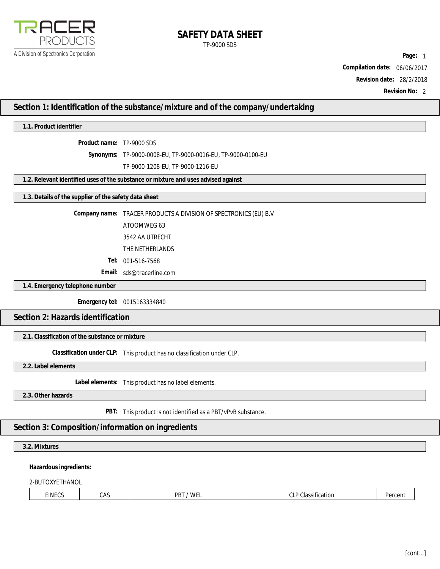

# **SAFETY DATA SHEET** TP-9000 SDS

**Page:** 1 **Compilation date:** 06/06/2017 **Revision date:** 28/2/2018

**Revision No:** 2

# **Section 1: Identification of the substance/mixture and of the company/undertaking**

# **1.1. Product identifier**

**Product name:** TP-9000 SDS

**Synonyms:** TP-9000-0008-EU, TP-9000-0016-EU, TP-9000-0100-EU

TP-9000-1208-EU, TP-9000-1216-EU

**1.2. Relevant identified uses of the substance or mixture and uses advised against**

**1.3. Details of the supplier of the safety data sheet**

**Company name:** TRACER PRODUCTS A DIVISION OF SPECTRONICS (EU) B.V

ATOOMWEG 63

3542 AA UTRECHT

THE NETHERLANDS

**Tel:** 001-516-7568

**Email:** [sds@tracerline.com](mailto:sds@tracerline.com)

**1.4. Emergency telephone number**

**Emergency tel:** 0015163334840

**Section 2: Hazards identification**

**2.1. Classification of the substance or mixture**

**Classification under CLP:** This product has no classification under CLP.

**2.2. Label elements**

**Label elements:** This product has no label elements.

**2.3. Other hazards**

**PBT:** This product is not identified as a PBT/vPvB substance.

# **Section 3: Composition/information on ingredients**

**3.2. Mixtures**

**Hazardous ingredients:**

2-BUTOXYETHANOL

| EINECS | ۴Δ۹<br>unu | PB.<br><b>WF</b><br>. | $\sim$<br>$\cdot$<br>SIIItation<br>۱۵۰، ۱<br>◡∟<br>. | $n_{\rm O}$<br>ucu |
|--------|------------|-----------------------|------------------------------------------------------|--------------------|
|--------|------------|-----------------------|------------------------------------------------------|--------------------|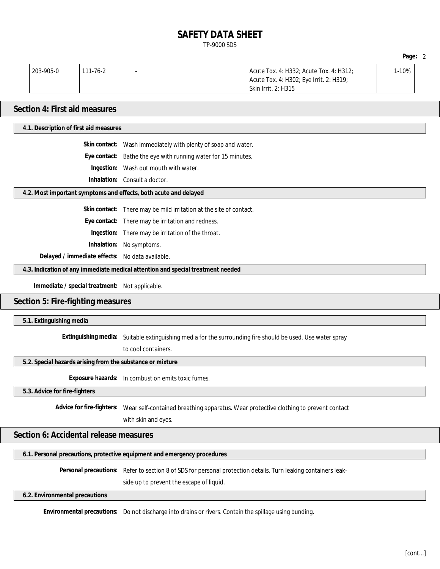# **SAFETY DATA SHEET** TP-9000 SDS

| 203-905-0 | 111-76-2 | Acute Tox. 4: H332; Acute Tox. 4: H312; | l-10% |
|-----------|----------|-----------------------------------------|-------|
|           |          | Acute Tox. 4: H302; Eye Irrit. 2: H319; |       |
|           |          | <b>Skin Irrit. 2: H315</b>              |       |

# **Section 4: First aid measures**

**4.1. Description of first aid measures**

**Skin contact:** Wash immediately with plenty of soap and water.

**Eye contact:** Bathe the eye with running water for 15 minutes.

**Ingestion:** Wash out mouth with water.

**Inhalation:** Consult a doctor.

**4.2. Most important symptoms and effects, both acute and delayed**

**Skin contact:** There may be mild irritation at the site of contact.

**Eye contact:** There may be irritation and redness.

**Ingestion:** There may be irritation of the throat.

**Inhalation:** No symptoms.

**Delayed / immediate effects:** No data available.

**4.3. Indication of any immediate medical attention and special treatment needed**

**Immediate / special treatment:** Not applicable.

### **Section 5: Fire-fighting measures**

**5.1. Extinguishing media**

**Extinguishing media:** Suitable extinguishing media for the surrounding fire should be used. Use water spray

to cool containers.

**5.2. Special hazards arising from the substance or mixture**

**Exposure hazards:** In combustion emits toxic fumes.

**5.3. Advice for fire-fighters**

**Advice for fire-fighters:** Wear self-contained breathing apparatus. Wear protective clothing to prevent contact

with skin and eyes.

**Section 6: Accidental release measures**

**6.1. Personal precautions, protective equipment and emergency procedures**

**Personal precautions:** Refer to section 8 of SDS for personal protection details. Turn leaking containers leak-

side up to prevent the escape of liquid.

**6.2. Environmental precautions**

**Environmental precautions:** Do not discharge into drains or rivers. Contain the spillage using bunding.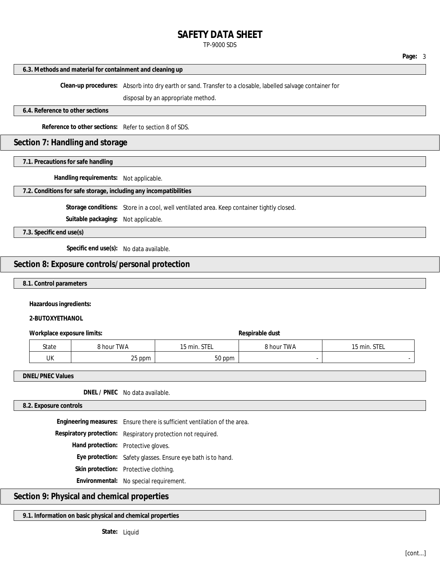# **SAFETY DATA SHEET**

### TP-9000 SDS

#### **6.3. Methods and material for containment and cleaning up**

**Clean-up procedures:** Absorb into dry earth or sand. Transfer to a closable, labelled salvage container for

disposal by an appropriate method.

**6.4. Reference to other sections**

**Reference to other sections:** Refer to section 8 of SDS.

### **Section 7: Handling and storage**

**7.1. Precautions for safe handling**

**Handling requirements:** Not applicable.

**7.2. Conditions for safe storage, including any incompatibilities**

**Storage conditions:** Store in a cool, well ventilated area. Keep container tightly closed.

**Suitable packaging:** Not applicable.

**7.3. Specific end use(s)**

**Specific end use(s):** No data available.

# **Section 8: Exposure controls/personal protection**

### **8.1. Control parameters**

**Hazardous ingredients:**

**2-BUTOXYETHANOL**

**Workplace** exposure limits: **Respirable** dust

| <b>State</b> | 3 hour TWA      | <b>CTEI</b><br>15 min.<br>JILL | <b>8 hour TWA</b> | 15 min. STEL |
|--------------|-----------------|--------------------------------|-------------------|--------------|
| UK           | nr.<br>ppm<br>້ | $ \sim$<br>ppm<br>JU           |                   |              |

**DNEL/PNEC Values**

**DNEL / PNEC** No data available.

### **8.2. Exposure controls**

**Engineering measures:** Ensure there is sufficient ventilation of the area. **Respiratory protection:** Respiratory protection not required. **Hand protection:** Protective gloves. **Eye protection:** Safety glasses. Ensure eye bath is to hand. **Skin protection:** Protective clothing. **Environmental:** No special requirement.

# **Section 9: Physical and chemical properties**

**9.1. Information on basic physical and chemical properties**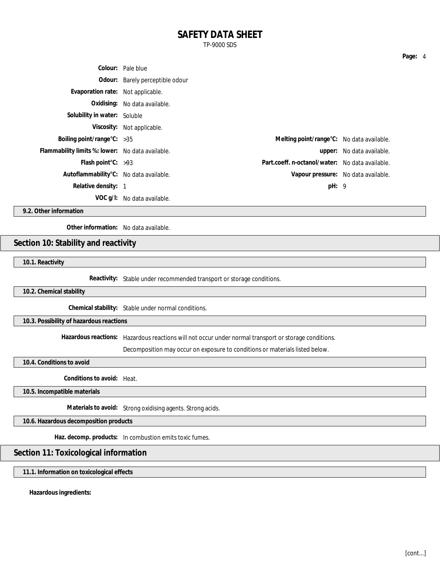# **SAFETY DATA SHEET**

TP-9000 SDS

|                                                  | Colour: Pale blue               |                                                 |                                     |
|--------------------------------------------------|---------------------------------|-------------------------------------------------|-------------------------------------|
|                                                  | Odour: Barely perceptible odour |                                                 |                                     |
| Evaporation rate: Not applicable.                |                                 |                                                 |                                     |
|                                                  | Oxidising: No data available.   |                                                 |                                     |
| Solubility in water: Soluble                     |                                 |                                                 |                                     |
|                                                  | Viscosity: Not applicable.      |                                                 |                                     |
| Boiling point/range $C: >35$                     |                                 | Melting point/range°C: No data available.       |                                     |
| Flammability limits %: lower: No data available. |                                 |                                                 | upper: No data available.           |
| Flash point $C: >93$                             |                                 | Part.coeff. n-octanol/water: No data available. |                                     |
| Autoflammability°C: No data available.           |                                 |                                                 | Vapour pressure: No data available. |
| Relative density: 1                              |                                 | pH: 9                                           |                                     |
|                                                  | VOC g/l: No data available.     |                                                 |                                     |

**9.2. Other information**

**Other information:** No data available.

# **Section 10: Stability and reactivity**

**10.1. Reactivity**

**Reactivity:** Stable under recommended transport or storage conditions.

**10.2. Chemical stability**

**Chemical stability:** Stable under normal conditions.

**10.3. Possibility of hazardous reactions**

**Hazardous reactions:** Hazardous reactions will not occur under normal transport or storage conditions.

Decomposition may occur on exposure to conditions or materials listed below.

**10.4. Conditions to avoid**

**Conditions to avoid:** Heat.

**10.5. Incompatible materials**

**Materials to avoid:** Strong oxidising agents. Strong acids.

**10.6. Hazardous decomposition products**

**Haz. decomp. products:** In combustion emits toxic fumes.

# **Section 11: Toxicological information**

**11.1. Information on toxicological effects**

**Hazardous ingredients:**

[cont...]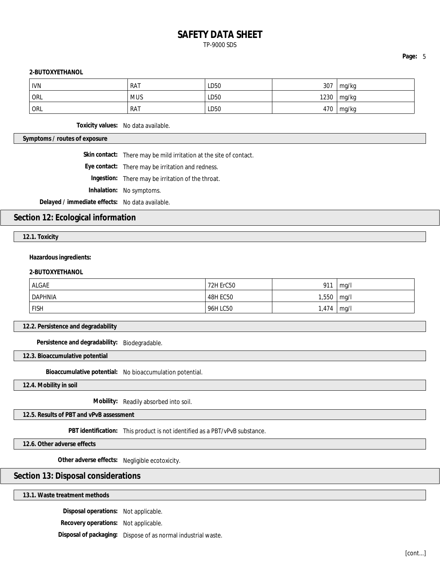# **SAFETY DATA SHEET** TP-9000 SDS

### **Page:** 5

### **2-BUTOXYETHANOL**

| <b>IVN</b> | <b>RAT</b> | LD50 | 307  | mg/kg |
|------------|------------|------|------|-------|
| <b>ORL</b> | <b>MUS</b> | LD50 | 1230 | mg/kg |
| <b>ORL</b> | RAT        | LD50 | 470  | mg/kg |

**Toxicity values:** No data available.

**Symptoms / routes of exposure**

**Skin contact:** There may be mild irritation at the site of contact.

**Eye contact:** There may be irritation and redness.

**Ingestion:** There may be irritation of the throat.

**Inhalation:** No symptoms.

**Delayed / immediate effects:** No data available.

# **Section 12: Ecological information**

**12.1. Toxicity**

### **Hazardous ingredients:**

### **2-BUTOXYETHANOL**

| <b>ALGAE</b>   | 72H ErC50       | 911   | ma/l |
|----------------|-----------------|-------|------|
| <b>DAPHNIA</b> | <b>48H EC50</b> | 1,550 | mq/l |
| <b>FISH</b>    | 96H LC50        | 1,474 | mq/l |

**12.2. Persistence and degradability**

**Persistence and degradability:** Biodegradable.

**12.3. Bioaccumulative potential**

**Bioaccumulative potential:** No bioaccumulation potential.

**12.4. Mobility in soil**

**Mobility:** Readily absorbed into soil.

**12.5. Results of PBT and vPvB assessment**

**PBT identification:** This product is not identified as a PBT/vPvB substance.

**12.6. Other adverse effects**

**Other adverse effects:** Negligible ecotoxicity.

# **Section 13: Disposal considerations**

### **13.1. Waste treatment methods**

**Disposal operations:** Not applicable.

**Recovery operations:** Not applicable.

**Disposal of packaging:** Dispose of as normal industrial waste.